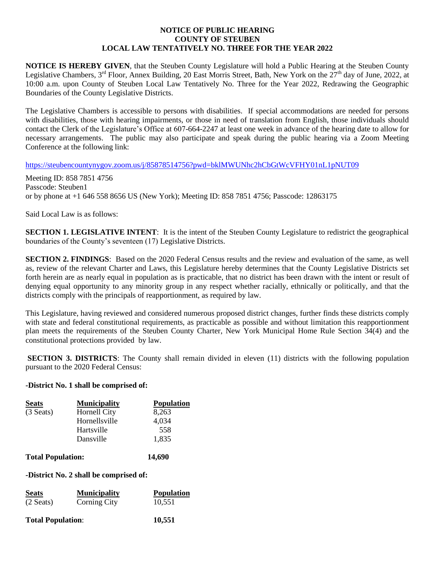### **NOTICE OF PUBLIC HEARING COUNTY OF STEUBEN LOCAL LAW TENTATIVELY NO. THREE FOR THE YEAR 2022**

**NOTICE IS HEREBY GIVEN**, that the Steuben County Legislature will hold a Public Hearing at the Steuben County Legislative Chambers, 3<sup>rd</sup> Floor, Annex Building, 20 East Morris Street, Bath, New York on the 27<sup>th</sup> day of June, 2022, at 10:00 a.m. upon County of Steuben Local Law Tentatively No. Three for the Year 2022, Redrawing the Geographic Boundaries of the County Legislative Districts.

The Legislative Chambers is accessible to persons with disabilities. If special accommodations are needed for persons with disabilities, those with hearing impairments, or those in need of translation from English, those individuals should contact the Clerk of the Legislature's Office at 607-664-2247 at least one week in advance of the hearing date to allow for necessary arrangements. The public may also participate and speak during the public hearing via a Zoom Meeting Conference at the following link:

<https://steubencountynygov.zoom.us/j/85878514756?pwd=bklMWUNhc2hCbGtWcVFHY01nL1pNUT09>

Meeting ID: 858 7851 4756 Passcode: Steuben1 or by phone at +1 646 558 8656 US (New York); Meeting ID: 858 7851 4756; Passcode: 12863175

Said Local Law is as follows:

**SECTION 1. LEGISLATIVE INTENT:** It is the intent of the Steuben County Legislature to redistrict the geographical boundaries of the County's seventeen (17) Legislative Districts.

**SECTION 2. FINDINGS**: Based on the 2020 Federal Census results and the review and evaluation of the same, as well as, review of the relevant Charter and Laws, this Legislature hereby determines that the County Legislative Districts set forth herein are as nearly equal in population as is practicable, that no district has been drawn with the intent or result of denying equal opportunity to any minority group in any respect whether racially, ethnically or politically, and that the districts comply with the principals of reapportionment, as required by law.

This Legislature, having reviewed and considered numerous proposed district changes, further finds these districts comply with state and federal constitutional requirements, as practicable as possible and without limitation this reapportionment plan meets the requirements of the Steuben County Charter, New York Municipal Home Rule Section 34(4) and the constitutional protections provided by law.

**SECTION 3. DISTRICTS:** The County shall remain divided in eleven (11) districts with the following population pursuant to the 2020 Federal Census:

### **-District No. 1 shall be comprised of:**

| <b>Seats</b>             | <b>Municipality</b> | <b>Population</b> |
|--------------------------|---------------------|-------------------|
| $(3$ Seats)              | Hornell City        | 8,263             |
|                          | Hornellsville       | 4,034             |
|                          | Hartsville          | 558               |
|                          | Dansville           | 1,835             |
| <b>Total Population:</b> |                     | 14.690            |

**-District No. 2 shall be comprised of:**

| <b>Seats</b> | <b>Municipality</b> | <b>Population</b> |
|--------------|---------------------|-------------------|
| $(2$ Seats)  | <b>Corning City</b> | 10.551            |

**Total Population**: **10,551**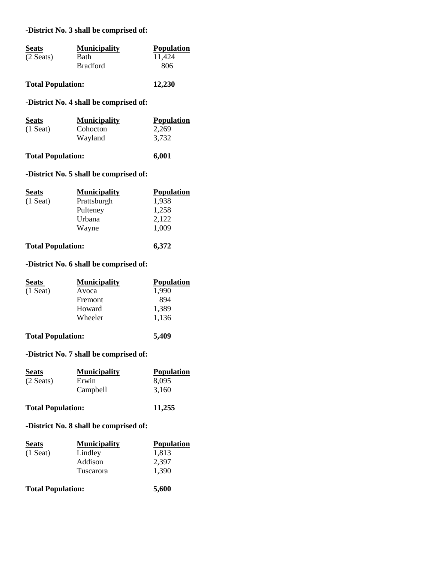### **-District No. 3 shall be comprised of:**

| <b>Seats</b> | <b>Municipality</b> | <b>Population</b> |
|--------------|---------------------|-------------------|
| $(2$ Seats)  | Bath                | 11.424            |
|              | <b>Bradford</b>     | 806               |
|              |                     |                   |

## **Total Population: 12,230**

### **-District No. 4 shall be comprised of:**

| <b>Seats</b> | <b>Municipality</b> | <b>Population</b> |
|--------------|---------------------|-------------------|
| $(1$ Seat)   | Cohocton            | 2.269             |
|              | Wayland             | 3.732             |
|              |                     |                   |

### **Total Population: 6,001**

# **-District No. 5 shall be comprised of:**

| <b>Seats</b>             | <b>Municipality</b> | <b>Population</b> |
|--------------------------|---------------------|-------------------|
| $(1$ Seat)               | Prattsburgh         | 1,938             |
|                          | Pulteney            | 1,258             |
|                          | Urbana              | 2,122             |
|                          | Wayne               | 1,009             |
| <b>Total Population:</b> |                     | 6,372             |

### **-District No. 6 shall be comprised of:**

| <b>Seats</b>             | <b>Municipality</b> | <b>Population</b> |
|--------------------------|---------------------|-------------------|
| $(1$ Seat)               | Avoca               | 1,990             |
|                          | Fremont             | 894               |
|                          | Howard              | 1,389             |
|                          | Wheeler             | 1,136             |
| <b>Total Population:</b> |                     | 5,409             |

### **-District No. 7 shall be comprised of:**

| <b>Seats</b>             | <b>Municipality</b> | <b>Population</b> |
|--------------------------|---------------------|-------------------|
| $(2$ Seats)              | Erwin               | 8,095             |
|                          | Campbell            | 3.160             |
| <b>Total Population:</b> |                     | 11,255            |

### **-District No. 8 shall be comprised of:**

| <b>Seats</b>             | <b>Municipality</b> | <b>Population</b> |
|--------------------------|---------------------|-------------------|
| $(1$ Seat)               | Lindley             | 1,813             |
|                          | Addison             | 2,397             |
|                          | Tuscarora           | 1,390             |
| <b>Total Population:</b> |                     | 5,600             |